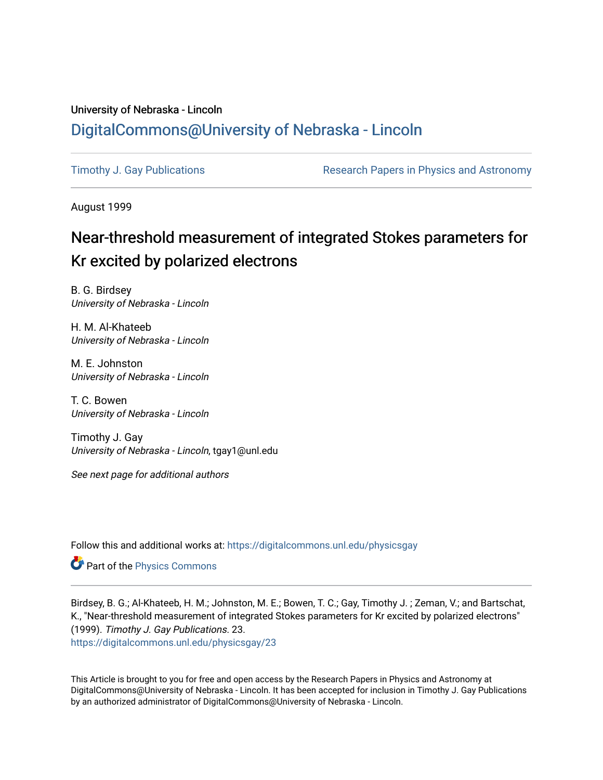## University of Nebraska - Lincoln [DigitalCommons@University of Nebraska - Lincoln](https://digitalcommons.unl.edu/)

[Timothy J. Gay Publications](https://digitalcommons.unl.edu/physicsgay) **Research Papers in Physics and Astronomy** 

August 1999

# Near-threshold measurement of integrated Stokes parameters for Kr excited by polarized electrons

B. G. Birdsey University of Nebraska - Lincoln

H. M. Al-Khateeb University of Nebraska - Lincoln

M. E. Johnston University of Nebraska - Lincoln

T. C. Bowen University of Nebraska - Lincoln

Timothy J. Gay University of Nebraska - Lincoln, tgay1@unl.edu

See next page for additional authors

Follow this and additional works at: [https://digitalcommons.unl.edu/physicsgay](https://digitalcommons.unl.edu/physicsgay?utm_source=digitalcommons.unl.edu%2Fphysicsgay%2F23&utm_medium=PDF&utm_campaign=PDFCoverPages)

Part of the [Physics Commons](http://network.bepress.com/hgg/discipline/193?utm_source=digitalcommons.unl.edu%2Fphysicsgay%2F23&utm_medium=PDF&utm_campaign=PDFCoverPages)

Birdsey, B. G.; Al-Khateeb, H. M.; Johnston, M. E.; Bowen, T. C.; Gay, Timothy J. ; Zeman, V.; and Bartschat, K., "Near-threshold measurement of integrated Stokes parameters for Kr excited by polarized electrons" (1999). Timothy J. Gay Publications. 23. [https://digitalcommons.unl.edu/physicsgay/23](https://digitalcommons.unl.edu/physicsgay/23?utm_source=digitalcommons.unl.edu%2Fphysicsgay%2F23&utm_medium=PDF&utm_campaign=PDFCoverPages) 

This Article is brought to you for free and open access by the Research Papers in Physics and Astronomy at DigitalCommons@University of Nebraska - Lincoln. It has been accepted for inclusion in Timothy J. Gay Publications by an authorized administrator of DigitalCommons@University of Nebraska - Lincoln.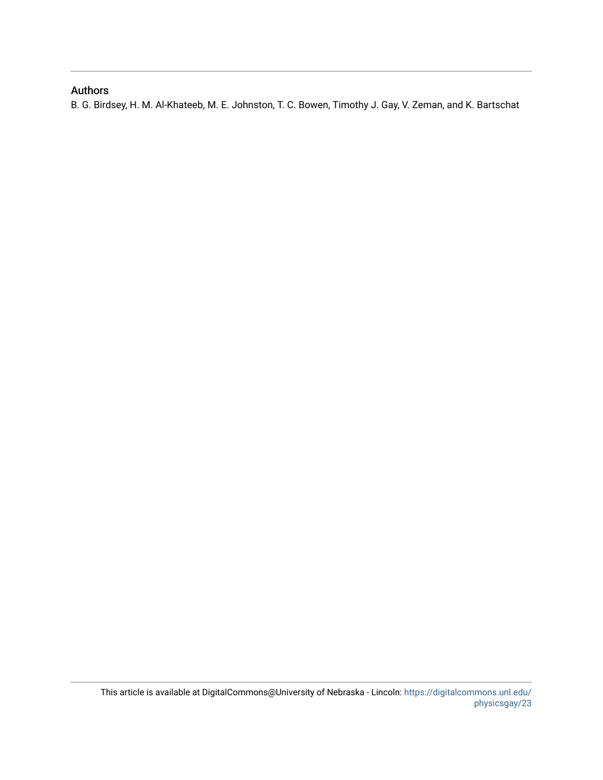## Authors

B. G. Birdsey, H. M. Al-Khateeb, M. E. Johnston, T. C. Bowen, Timothy J. Gay, V. Zeman, and K. Bartschat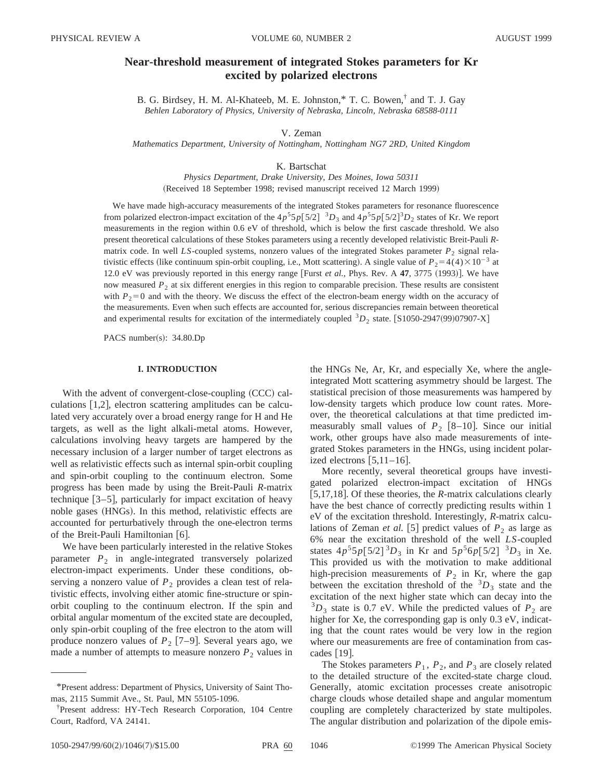### **Near-threshold measurement of integrated Stokes parameters for Kr excited by polarized electrons**

B. G. Birdsey, H. M. Al-Khateeb, M. E. Johnston,\* T. C. Bowen,† and T. J. Gay *Behlen Laboratory of Physics, University of Nebraska, Lincoln, Nebraska 68588-0111*

V. Zeman

*Mathematics Department, University of Nottingham, Nottingham NG7 2RD, United Kingdom*

K. Bartschat

*Physics Department, Drake University, Des Moines, Iowa 50311* (Received 18 September 1998; revised manuscript received 12 March 1999)

We have made high-accuracy measurements of the integrated Stokes parameters for resonance fluorescence from polarized electron-impact excitation of the  $4p^55p[5/2]$   ${}^3D_3$  and  $4p^55p[5/2]$  ${}^3D_2$  states of Kr. We report measurements in the region within 0.6 eV of threshold, which is below the first cascade threshold. We also present theoretical calculations of these Stokes parameters using a recently developed relativistic Breit-Pauli *R*matrix code. In well *LS*-coupled systems, nonzero values of the integrated Stokes parameter  $P_2$  signal relativistic effects (like continuum spin-orbit coupling, i.e., Mott scattering). A single value of  $P_2=4(4)\times 10^{-3}$  at 12.0 eV was previously reported in this energy range [Furst *et al.*, Phys. Rev. A  $47$ , 3775  $(1993)$ ]. We have now measured  $P_2$  at six different energies in this region to comparable precision. These results are consistent with  $P_2=0$  and with the theory. We discuss the effect of the electron-beam energy width on the accuracy of the measurements. Even when such effects are accounted for, serious discrepancies remain between theoretical and experimental results for excitation of the intermediately coupled  ${}^{3}D_{2}$  state. [S1050-2947(99)07907-X]

PACS number(s):  $34.80 \text{.}$ 

#### **I. INTRODUCTION**

With the advent of convergent-close-coupling (CCC) calculations  $[1,2]$ , electron scattering amplitudes can be calculated very accurately over a broad energy range for H and He targets, as well as the light alkali-metal atoms. However, calculations involving heavy targets are hampered by the necessary inclusion of a larger number of target electrons as well as relativistic effects such as internal spin-orbit coupling and spin-orbit coupling to the continuum electron. Some progress has been made by using the Breit-Pauli *R*-matrix technique  $[3-5]$ , particularly for impact excitation of heavy noble gases (HNGs). In this method, relativistic effects are accounted for perturbatively through the one-electron terms of the Breit-Pauli Hamiltonian  $[6]$ .

We have been particularly interested in the relative Stokes parameter  $P_2$  in angle-integrated transversely polarized electron-impact experiments. Under these conditions, observing a nonzero value of  $P_2$  provides a clean test of relativistic effects, involving either atomic fine-structure or spinorbit coupling to the continuum electron. If the spin and orbital angular momentum of the excited state are decoupled, only spin-orbit coupling of the free electron to the atom will produce nonzero values of  $P_2$  [7–9]. Several years ago, we made a number of attempts to measure nonzero  $P_2$  values in the HNGs Ne, Ar, Kr, and especially Xe, where the angleintegrated Mott scattering asymmetry should be largest. The statistical precision of those measurements was hampered by low-density targets which produce low count rates. Moreover, the theoretical calculations at that time predicted immeasurably small values of  $P_2$  [8–10]. Since our initial work, other groups have also made measurements of integrated Stokes parameters in the HNGs, using incident polarized electrons  $\left[5,11-16\right]$ .

More recently, several theoretical groups have investigated polarized electron-impact excitation of HNGs [ $5,17,18$ ]. Of these theories, the *R*-matrix calculations clearly have the best chance of correctly predicting results within 1 eV of the excitation threshold. Interestingly, *R*-matrix calculations of Zeman *et al.* [5] predict values of  $P_2$  as large as 6% near the excitation threshold of the well *LS*-coupled states  $4p^55p[5/2]^3D_3$  in Kr and  $5p^56p[5/2]^3D_3$  in Xe. This provided us with the motivation to make additional high-precision measurements of  $P_2$  in Kr, where the gap between the excitation threshold of the  ${}^{3}D_3$  state and the excitation of the next higher state which can decay into the  ${}^{3}D_3$  state is 0.7 eV. While the predicted values of  $P_2$  are higher for Xe, the corresponding gap is only 0.3 eV, indicating that the count rates would be very low in the region where our measurements are free of contamination from cascades  $|19|$ .

The Stokes parameters  $P_1$ ,  $P_2$ , and  $P_3$  are closely related to the detailed structure of the excited-state charge cloud. Generally, atomic excitation processes create anisotropic charge clouds whose detailed shape and angular momentum coupling are completely characterized by state multipoles. The angular distribution and polarization of the dipole emis-

<sup>\*</sup>Present address: Department of Physics, University of Saint Thomas, 2115 Summit Ave., St. Paul, MN 55105-1096.

<sup>†</sup> Present address: HY-Tech Research Corporation, 104 Centre Court, Radford, VA 24141.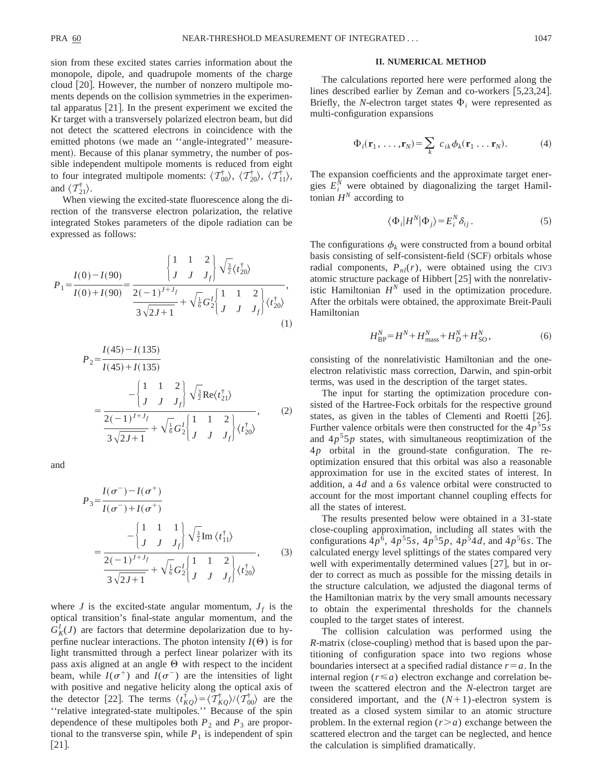sion from these excited states carries information about the monopole, dipole, and quadrupole moments of the charge cloud  $[20]$ . However, the number of nonzero multipole moments depends on the collision symmetries in the experimental apparatus  $[21]$ . In the present experiment we excited the Kr target with a transversely polarized electron beam, but did not detect the scattered electrons in coincidence with the emitted photons (we made an "angle-integrated" measurement). Because of this planar symmetry, the number of possible independent multipole moments is reduced from eight to four integrated multipole moments:  $\langle \mathcal{T}_{00}^{\dagger} \rangle$ ,  $\langle \mathcal{T}_{20}^{\dagger} \rangle$ ,  $\langle \mathcal{T}_{11}^{\dagger} \rangle$ , and  $\langle T_{21}^{\dagger} \rangle$ .

When viewing the excited-state fluorescence along the direction of the transverse electron polarization, the relative integrated Stokes parameters of the dipole radiation can be expressed as follows:

$$
P_{1} = \frac{I(0) - I(90)}{I(0) + I(90)} = \frac{\left\{\begin{array}{cc} 1 & 1 & 2 \\ J & J & J_{f} \end{array}\right\} \sqrt{\frac{3}{2}} \langle t_{20}^{\dagger} \rangle}{\frac{2(-1)^{J+J_{f}}}{3\sqrt{2J+1}} + \sqrt{\frac{1}{6}} G_{2}^{J} \left\{\begin{array}{cc} 1 & 1 & 2 \\ J & J & J_{f} \end{array}\right\} \langle t_{20}^{\dagger} \rangle},\tag{1}
$$

$$
P_{2} = \frac{I(45) - I(135)}{I(45) + I(135)}
$$
  
= 
$$
\frac{-\begin{bmatrix} 1 & 1 & 2 \\ J & J & J_f \end{bmatrix} \sqrt{\frac{3}{2}} \text{Re}\langle t_{21}^{\dagger} \rangle}{\frac{2(-1)^{J+J_{f}}}{3\sqrt{2J+1}} + \sqrt{\frac{7}{6}} G_{2}^{I} \begin{bmatrix} 1 & 1 & 2 \\ J & J & J_f \end{bmatrix} \langle t_{20}^{\dagger} \rangle},
$$
(2)

and

$$
P_3 = \frac{I(\sigma^-) - I(\sigma^+)}{I(\sigma^-) + I(\sigma^+)} = \frac{\begin{vmatrix} 1 & 1 & 1 \\ J & J & J_f \end{vmatrix} \sqrt{\frac{3}{2}} \text{Im} \langle t_{11}^{\dagger} \rangle}{\frac{2(-1)^{J+J_f}}{3\sqrt{2J+1}} + \sqrt{\frac{1}{6}} G_2^I \begin{vmatrix} 1 & 1 & 2 \\ J & J & J_f \end{vmatrix} \langle t_{20}^{\dagger} \rangle},
$$
(3)

where *J* is the excited-state angular momentum,  $J_f$  is the optical transition's final-state angular momentum, and the  $G_K^I(J)$  are factors that determine depolarization due to hyperfine nuclear interactions. The photon intensity  $I(\Theta)$  is for light transmitted through a perfect linear polarizer with its pass axis aligned at an angle  $\Theta$  with respect to the incident beam, while  $I(\sigma^+)$  and  $I(\sigma^-)$  are the intensities of light with positive and negative helicity along the optical axis of the detector [22]. The terms  $\langle t_{KQ}^{\dagger} \rangle = \langle T_{KQ}^{\dagger} \rangle / \langle T_{00}^{\dagger} \rangle$  are the ''relative integrated-state multipoles.'' Because of the spin dependence of these multipoles both  $P_2$  and  $P_3$  are proportional to the transverse spin, while  $P_1$  is independent of spin  $\lceil 21 \rceil$ .

#### **II. NUMERICAL METHOD**

The calculations reported here were performed along the lines described earlier by Zeman and co-workers  $[5,23,24]$ . Briefly, the *N*-electron target states  $\Phi_i$  were represented as multi-configuration expansions

$$
\Phi_i(\mathbf{r}_1,\ldots,\mathbf{r}_N)=\sum_k\ c_{ik}\phi_k(\mathbf{r}_1\ldots\mathbf{r}_N). \hspace{1cm} (4)
$$

The expansion coefficients and the approximate target energies  $E_i^N$  were obtained by diagonalizing the target Hamiltonian  $H^N$  according to

$$
\langle \Phi_i | H^N | \Phi_j \rangle = E_i^N \delta_{ij} . \tag{5}
$$

The configurations  $\phi_k$  were constructed from a bound orbital basis consisting of self-consistent-field (SCF) orbitals whose radial components,  $P_{nl}(r)$ , were obtained using the CIV3 atomic structure package of Hibbert  $[25]$  with the nonrelativistic Hamiltonian  $H^N$  used in the optimization procedure. After the orbitals were obtained, the approximate Breit-Pauli Hamiltonian

$$
H_{\rm BP}^N = H^N + H_{\rm mass}^N + H_D^N + H_{\rm SO}^N,\tag{6}
$$

consisting of the nonrelativistic Hamiltonian and the oneelectron relativistic mass correction, Darwin, and spin-orbit terms, was used in the description of the target states.

The input for starting the optimization procedure consisted of the Hartree-Fock orbitals for the respective ground states, as given in the tables of Clementi and Roetti [26]. Further valence orbitals were then constructed for the  $4p^55s$ and  $4p<sup>5</sup>5p$  states, with simultaneous reoptimization of the 4*p* orbital in the ground-state configuration. The reoptimization ensured that this orbital was also a reasonable approximation for use in the excited states of interest. In addition, a 4*d* and a 6*s* valence orbital were constructed to account for the most important channel coupling effects for all the states of interest.

The results presented below were obtained in a 31-state close-coupling approximation, including all states with the configurations  $4p^6$ ,  $4p^55s$ ,  $4p^55p$ ,  $4p^54d$ , and  $4p^56s$ . The calculated energy level splittings of the states compared very well with experimentally determined values  $[27]$ , but in order to correct as much as possible for the missing details in the structure calculation, we adjusted the diagonal terms of the Hamiltonian matrix by the very small amounts necessary to obtain the experimental thresholds for the channels coupled to the target states of interest.

The collision calculation was performed using the *R*-matrix (close-coupling) method that is based upon the partitioning of configuration space into two regions whose boundaries intersect at a specified radial distance  $r = a$ . In the internal region  $(r \le a)$  electron exchange and correlation between the scattered electron and the *N*-electron target are considered important, and the  $(N+1)$ -electron system is treated as a closed system similar to an atomic structure problem. In the external region  $(r > a)$  exchange between the scattered electron and the target can be neglected, and hence the calculation is simplified dramatically.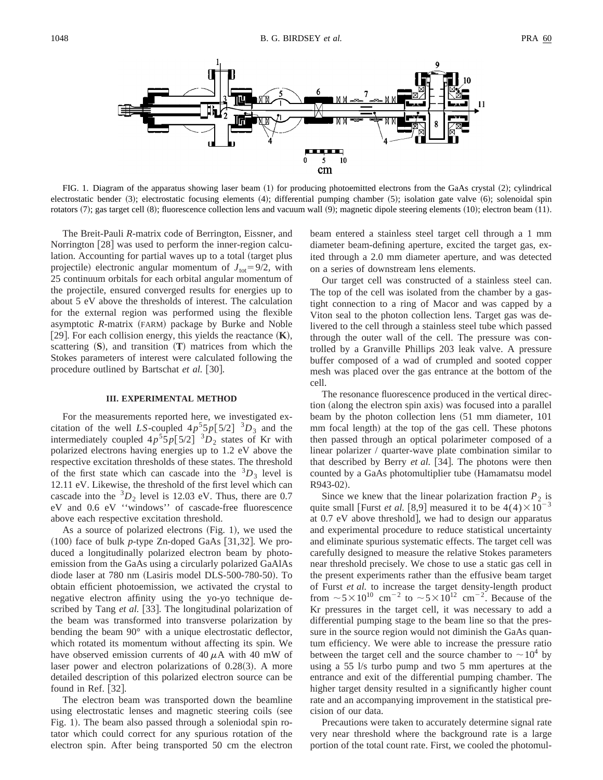

FIG. 1. Diagram of the apparatus showing laser beam  $(1)$  for producing photoemitted electrons from the GaAs crystal  $(2)$ ; cylindrical electrostatic bender (3); electrostatic focusing elements (4); differential pumping chamber (5); isolation gate valve (6); solenoidal spin rotators  $(7)$ ; gas target cell  $(8)$ ; fluorescence collection lens and vacuum wall  $(9)$ ; magnetic dipole steering elements  $(10)$ ; electron beam  $(11)$ .

The Breit-Pauli *R*-matrix code of Berrington, Eissner, and Norrington  $[28]$  was used to perform the inner-region calculation. Accounting for partial waves up to a total (target plus projectile) electronic angular momentum of  $J_{\text{tot}}=9/2$ , with 25 continuum orbitals for each orbital angular momentum of the projectile, ensured converged results for energies up to about 5 eV above the thresholds of interest. The calculation for the external region was performed using the flexible asymptotic *R*-matrix (FARM) package by Burke and Noble [29]. For each collision energy, this yields the reactance  $(K)$ , scattering  $(S)$ , and transition  $(T)$  matrices from which the Stokes parameters of interest were calculated following the procedure outlined by Bartschat *et al.* [30].

#### **III. EXPERIMENTAL METHOD**

For the measurements reported here, we investigated excitation of the well *LS*-coupled  $4p^55p[5/2]$  <sup>3</sup> $D_3$  and the intermediately coupled  $4p^55p[5/2]$   ${}^3D_2$  states of Kr with polarized electrons having energies up to 1.2 eV above the respective excitation thresholds of these states. The threshold of the first state which can cascade into the  ${}^{3}D_3$  level is 12.11 eV. Likewise, the threshold of the first level which can cascade into the  ${}^{3}D_2$  level is 12.03 eV. Thus, there are 0.7 eV and 0.6 eV ''windows'' of cascade-free fluorescence above each respective excitation threshold.

As a source of polarized electrons  $(Fig. 1)$ , we used the  $(100)$  face of bulk *p*-type Zn-doped GaAs [31,32]. We produced a longitudinally polarized electron beam by photoemission from the GaAs using a circularly polarized GaAlAs diode laser at 780 nm (Lasiris model DLS-500-780-50). To obtain efficient photoemission, we activated the crystal to negative electron affinity using the yo-yo technique described by Tang *et al.* [33]. The longitudinal polarization of the beam was transformed into transverse polarization by bending the beam 90° with a unique electrostatic deflector, which rotated its momentum without affecting its spin. We have observed emission currents of  $40 \mu A$  with  $40 \mu W$  of laser power and electron polarizations of  $0.28(3)$ . A more detailed description of this polarized electron source can be found in Ref.  $[32]$ .

The electron beam was transported down the beamline using electrostatic lenses and magnetic steering coils (see Fig. 1). The beam also passed through a soleniodal spin rotator which could correct for any spurious rotation of the electron spin. After being transported 50 cm the electron beam entered a stainless steel target cell through a 1 mm diameter beam-defining aperture, excited the target gas, exited through a 2.0 mm diameter aperture, and was detected on a series of downstream lens elements.

Our target cell was constructed of a stainless steel can. The top of the cell was isolated from the chamber by a gastight connection to a ring of Macor and was capped by a Viton seal to the photon collection lens. Target gas was delivered to the cell through a stainless steel tube which passed through the outer wall of the cell. The pressure was controlled by a Granville Phillips 203 leak valve. A pressure buffer composed of a wad of crumpled and sooted copper mesh was placed over the gas entrance at the bottom of the cell.

The resonance fluorescence produced in the vertical direction (along the electron spin axis) was focused into a parallel beam by the photon collection lens (51 mm diameter, 101 mm focal length) at the top of the gas cell. These photons then passed through an optical polarimeter composed of a linear polarizer / quarter-wave plate combination similar to that described by Berry *et al.* [34]. The photons were then counted by a GaAs photomultiplier tube (Hamamatsu model R943-02).

Since we knew that the linear polarization fraction  $P_2$  is quite small [Furst *et al.* [8,9] measured it to be  $4(4) \times 10^{-3}$ at 0.7 eV above threshold], we had to design our apparatus and experimental procedure to reduce statistical uncertainty and eliminate spurious systematic effects. The target cell was carefully designed to measure the relative Stokes parameters near threshold precisely. We chose to use a static gas cell in the present experiments rather than the effusive beam target of Furst *et al.* to increase the target density-length product from  $\sim 5 \times 10^{10}$  cm<sup>-2</sup> to  $\sim 5 \times 10^{12}$  cm<sup>-2</sup>. Because of the Kr pressures in the target cell, it was necessary to add a differential pumping stage to the beam line so that the pressure in the source region would not diminish the GaAs quantum efficiency. We were able to increase the pressure ratio between the target cell and the source chamber to  $\sim 10^4$  by using a 55 l/s turbo pump and two 5 mm apertures at the entrance and exit of the differential pumping chamber. The higher target density resulted in a significantly higher count rate and an accompanying improvement in the statistical precision of our data.

Precautions were taken to accurately determine signal rate very near threshold where the background rate is a large portion of the total count rate. First, we cooled the photomul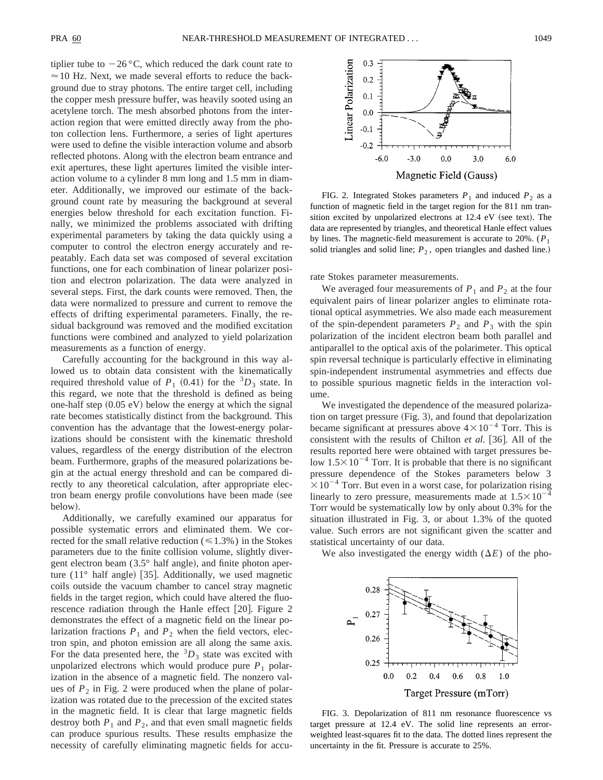tiplier tube to  $-26$  °C, which reduced the dark count rate to  $\approx$  10 Hz. Next, we made several efforts to reduce the background due to stray photons. The entire target cell, including the copper mesh pressure buffer, was heavily sooted using an acetylene torch. The mesh absorbed photons from the interaction region that were emitted directly away from the photon collection lens. Furthermore, a series of light apertures were used to define the visible interaction volume and absorb reflected photons. Along with the electron beam entrance and exit apertures, these light apertures limited the visible interaction volume to a cylinder 8 mm long and 1.5 mm in diameter. Additionally, we improved our estimate of the background count rate by measuring the background at several energies below threshold for each excitation function. Finally, we minimized the problems associated with drifting experimental parameters by taking the data quickly using a computer to control the electron energy accurately and repeatably. Each data set was composed of several excitation functions, one for each combination of linear polarizer position and electron polarization. The data were analyzed in several steps. First, the dark counts were removed. Then, the data were normalized to pressure and current to remove the effects of drifting experimental parameters. Finally, the residual background was removed and the modified excitation functions were combined and analyzed to yield polarization measurements as a function of energy.

Carefully accounting for the background in this way allowed us to obtain data consistent with the kinematically required threshold value of  $P_1$  (0.41) for the <sup>3</sup> $D_3$  state. In this regard, we note that the threshold is defined as being one-half step  $(0.05 \text{ eV})$  below the energy at which the signal rate becomes statistically distinct from the background. This convention has the advantage that the lowest-energy polarizations should be consistent with the kinematic threshold values, regardless of the energy distribution of the electron beam. Furthermore, graphs of the measured polarizations begin at the actual energy threshold and can be compared directly to any theoretical calculation, after appropriate electron beam energy profile convolutions have been made (see below).

Additionally, we carefully examined our apparatus for possible systematic errors and eliminated them. We corrected for the small relative reduction  $(\leq 1.3\%)$  in the Stokes parameters due to the finite collision volume, slightly divergent electron beam  $(3.5^{\circ}$  half angle), and finite photon aperture  $(11^{\circ}$  half angle) [35]. Additionally, we used magnetic coils outside the vacuum chamber to cancel stray magnetic fields in the target region, which could have altered the fluorescence radiation through the Hanle effect  $[20]$ . Figure 2 demonstrates the effect of a magnetic field on the linear polarization fractions  $P_1$  and  $P_2$  when the field vectors, electron spin, and photon emission are all along the same axis. For the data presented here, the  ${}^{3}D_3$  state was excited with unpolarized electrons which would produce pure  $P_1$  polarization in the absence of a magnetic field. The nonzero values of  $P_2$  in Fig. 2 were produced when the plane of polarization was rotated due to the precession of the excited states in the magnetic field. It is clear that large magnetic fields destroy both  $P_1$  and  $P_2$ , and that even small magnetic fields can produce spurious results. These results emphasize the necessity of carefully eliminating magnetic fields for accu-



FIG. 2. Integrated Stokes parameters  $P_1$  and induced  $P_2$  as a function of magnetic field in the target region for the 811 nm transition excited by unpolarized electrons at  $12.4$  eV (see text). The data are represented by triangles, and theoretical Hanle effect values by lines. The magnetic-field measurement is accurate to 20%.  $(P_1$ solid triangles and solid line;  $P_2$ , open triangles and dashed line.)

rate Stokes parameter measurements.

We averaged four measurements of  $P_1$  and  $P_2$  at the four equivalent pairs of linear polarizer angles to eliminate rotational optical asymmetries. We also made each measurement of the spin-dependent parameters  $P_2$  and  $P_3$  with the spin polarization of the incident electron beam both parallel and antiparallel to the optical axis of the polarimeter. This optical spin reversal technique is particularly effective in eliminating spin-independent instrumental asymmetries and effects due to possible spurious magnetic fields in the interaction volume.

We investigated the dependence of the measured polarization on target pressure (Fig. 3), and found that depolarization became significant at pressures above  $4 \times 10^{-4}$  Torr. This is consistent with the results of Chilton *et al.* [36]. All of the results reported here were obtained with target pressures below  $1.5\times10^{-4}$  Torr. It is probable that there is no significant pressure dependence of the Stokes parameters below 3  $\times 10^{-4}$  Torr. But even in a worst case, for polarization rising linearly to zero pressure, measurements made at  $1.5 \times 10^{-4}$ Torr would be systematically low by only about 0.3% for the situation illustrated in Fig. 3, or about 1.3% of the quoted value. Such errors are not significant given the scatter and statistical uncertainty of our data.

We also investigated the energy width  $(\Delta E)$  of the pho-



FIG. 3. Depolarization of 811 nm resonance fluorescence vs target pressure at 12.4 eV. The solid line represents an errorweighted least-squares fit to the data. The dotted lines represent the uncertainty in the fit. Pressure is accurate to 25%.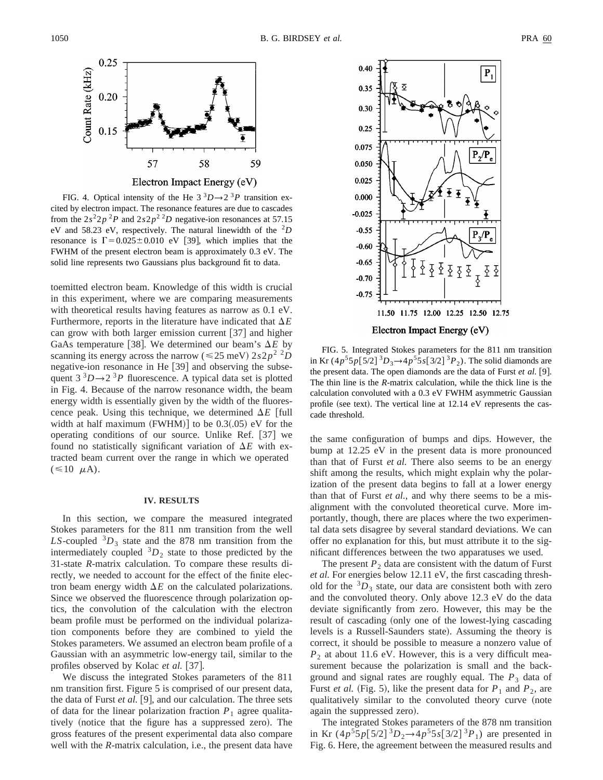

FIG. 4. Optical intensity of the He  $3^3D \rightarrow 2^3P$  transition excited by electron impact. The resonance features are due to cascades from the  $2s^22p^2P$  and  $2s2p^2D$  negative-ion resonances at 57.15 eV and 58.23 eV, respectively. The natural linewidth of the <sup>2</sup>*D* resonance is  $\Gamma = 0.025 \pm 0.010$  eV [39], which implies that the FWHM of the present electron beam is approximately 0.3 eV. The solid line represents two Gaussians plus background fit to data.

toemitted electron beam. Knowledge of this width is crucial in this experiment, where we are comparing measurements with theoretical results having features as narrow as 0.1 eV. Furthermore, reports in the literature have indicated that  $\Delta E$ can grow with both larger emission current  $\left[37\right]$  and higher GaAs temperature [38]. We determined our beam's  $\Delta E$  by scanning its energy across the narrow ( $\leq 25$  meV)  $2s2p^2$  <sup>2</sup>*D* negative-ion resonance in He [39] and observing the subsequent  $3^3D \rightarrow 2^3P$  fluorescence. A typical data set is plotted in Fig. 4. Because of the narrow resonance width, the beam energy width is essentially given by the width of the fluorescence peak. Using this technique, we determined  $\Delta E$  [full width at half maximum  $(FWHM)$  to be 0.3(.05) eV for the operating conditions of our source. Unlike Ref.  $[37]$  we found no statistically significant variation of  $\Delta E$  with extracted beam current over the range in which we operated  $(\leq 10 \mu A).$ 

#### **IV. RESULTS**

In this section, we compare the measured integrated Stokes parameters for the 811 nm transition from the well *LS*-coupled  ${}^{3}D_3$  state and the 878 nm transition from the intermediately coupled  ${}^{3}D_2$  state to those predicted by the 31-state *R*-matrix calculation. To compare these results directly, we needed to account for the effect of the finite electron beam energy width  $\Delta E$  on the calculated polarizations. Since we observed the fluorescence through polarization optics, the convolution of the calculation with the electron beam profile must be performed on the individual polarization components before they are combined to yield the Stokes parameters. We assumed an electron beam profile of a Gaussian with an asymmetric low-energy tail, similar to the profiles observed by Kolac *et al.* [37].

We discuss the integrated Stokes parameters of the 811 nm transition first. Figure 5 is comprised of our present data, the data of Furst *et al.* [9], and our calculation. The three sets of data for the linear polarization fraction  $P_1$  agree qualitatively (notice that the figure has a suppressed zero). The gross features of the present experimental data also compare well with the *R*-matrix calculation, i.e., the present data have



FIG. 5. Integrated Stokes parameters for the 811 nm transition in Kr  $(4p^55p[5/2]^3D_3 \rightarrow 4p^55s[3/2]^3P_2)$ . The solid diamonds are the present data. The open diamonds are the data of Furst *et al.* [9]. The thin line is the *R*-matrix calculation, while the thick line is the calculation convoluted with a 0.3 eV FWHM asymmetric Gaussian profile (see text). The vertical line at  $12.14$  eV represents the cascade threshold.

the same configuration of bumps and dips. However, the bump at 12.25 eV in the present data is more pronounced than that of Furst *et al.* There also seems to be an energy shift among the results, which might explain why the polarization of the present data begins to fall at a lower energy than that of Furst *et al.*, and why there seems to be a misalignment with the convoluted theoretical curve. More importantly, though, there are places where the two experimental data sets disagree by several standard deviations. We can offer no explanation for this, but must attribute it to the significant differences between the two apparatuses we used.

The present  $P_2$  data are consistent with the datum of Furst *et al.* For energies below 12.11 eV, the first cascading threshold for the  ${}^{3}D_3$  state, our data are consistent both with zero and the convoluted theory. Only above 12.3 eV do the data deviate significantly from zero. However, this may be the result of cascading (only one of the lowest-lying cascading levels is a Russell-Saunders state). Assuming the theory is correct, it should be possible to measure a nonzero value of *P*<sup>2</sup> at about 11.6 eV. However, this is a very difficult measurement because the polarization is small and the background and signal rates are roughly equal. The  $P_3$  data of Furst *et al.* (Fig. 5), like the present data for  $P_1$  and  $P_2$ , are qualitatively similar to the convoluted theory curve (note again the suppressed zero).

The integrated Stokes parameters of the 878 nm transition in Kr  $(4p^55p[5/2]^3D_2 \rightarrow 4p^55s[3/2]^3P_1$  are presented in Fig. 6. Here, the agreement between the measured results and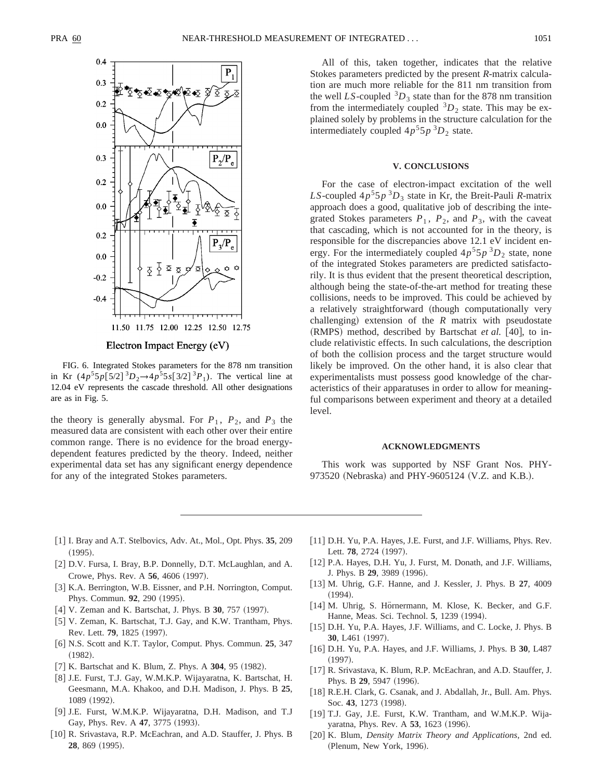

FIG. 6. Integrated Stokes parameters for the 878 nm transition in Kr  $(4p^55p[5/2]^3D_2 \rightarrow 4p^55s[3/2]^3P_1)$ . The vertical line at 12.04 eV represents the cascade threshold. All other designations are as in Fig. 5.

the theory is generally abysmal. For  $P_1$ ,  $P_2$ , and  $P_3$  the measured data are consistent with each other over their entire common range. There is no evidence for the broad energydependent features predicted by the theory. Indeed, neither experimental data set has any significant energy dependence for any of the integrated Stokes parameters.

All of this, taken together, indicates that the relative Stokes parameters predicted by the present *R*-matrix calculation are much more reliable for the 811 nm transition from the well *LS*-coupled  ${}^{3}D_3$  state than for the 878 nm transition from the intermediately coupled  ${}^{3}D_{2}$  state. This may be explained solely by problems in the structure calculation for the intermediately coupled  $4p^55p^3D_2$  state.

#### **V. CONCLUSIONS**

For the case of electron-impact excitation of the well *LS*-coupled  $4p^55p^3D_3$  state in Kr, the Breit-Pauli *R*-matrix approach does a good, qualitative job of describing the integrated Stokes parameters  $P_1$ ,  $P_2$ , and  $P_3$ , with the caveat that cascading, which is not accounted for in the theory, is responsible for the discrepancies above 12.1 eV incident energy. For the intermediately coupled  $4p^55p^3D_2$  state, none of the integrated Stokes parameters are predicted satisfactorily. It is thus evident that the present theoretical description, although being the state-of-the-art method for treating these collisions, needs to be improved. This could be achieved by a relatively straightforward (though computationally very challenging) extension of the  $R$  matrix with pseudostate  $(RMPS)$  method, described by Bartschat *et al.* [40], to include relativistic effects. In such calculations, the description of both the collision process and the target structure would likely be improved. On the other hand, it is also clear that experimentalists must possess good knowledge of the characteristics of their apparatuses in order to allow for meaningful comparisons between experiment and theory at a detailed level.

#### **ACKNOWLEDGMENTS**

This work was supported by NSF Grant Nos. PHY-973520 (Nebraska) and PHY-9605124 (V.Z. and K.B.).

- @1# I. Bray and A.T. Stelbovics, Adv. At., Mol., Opt. Phys. **35**, 209  $(1995).$
- 
- [2] D.V. Fursa, I. Bray, B.P. Donnelly, D.T. McLaughlan, and A. Crowe, Phys. Rev. A **56**, 4606 (1997).
- [3] K.A. Berrington, W.B. Eissner, and P.H. Norrington, Comput. Phys. Commun. 92, 290 (1995).
- [4] V. Zeman and K. Bartschat, J. Phys. B 30, 757 (1997).
- [5] V. Zeman, K. Bartschat, T.J. Gay, and K.W. Trantham, Phys. Rev. Lett. **79**, 1825 (1997).
- @6# N.S. Scott and K.T. Taylor, Comput. Phys. Commun. **25**, 347  $(1982).$
- [7] K. Bartschat and K. Blum, Z. Phys. A 304, 95 (1982).
- [8] J.E. Furst, T.J. Gay, W.M.K.P. Wijayaratna, K. Bartschat, H. Geesmann, M.A. Khakoo, and D.H. Madison, J. Phys. B **25**, 1089 (1992).
- [9] J.E. Furst, W.M.K.P. Wijayaratna, D.H. Madison, and T.J Gay, Phys. Rev. A 47, 3775 (1993).
- [10] R. Srivastava, R.P. McEachran, and A.D. Stauffer, J. Phys. B **28**, 869 (1995).
- [11] D.H. Yu, P.A. Hayes, J.E. Furst, and J.F. Williams, Phys. Rev. Lett. **78**, 2724 (1997). [12] P.A. Hayes, D.H. Yu, J. Furst, M. Donath, and J.F. Williams,
- J. Phys. B 29, 3989 (1996).
- [13] M. Uhrig, G.F. Hanne, and J. Kessler, J. Phys. B 27, 4009  $(1994).$
- [14] M. Uhrig, S. Hörnermann, M. Klose, K. Becker, and G.F. Hanne, Meas. Sci. Technol. **5**, 1239 (1994).
- [15] D.H. Yu, P.A. Hayes, J.F. Williams, and C. Locke, J. Phys. B 30, L461 (1997).
- @16# D.H. Yu, P.A. Hayes, and J.F. Williams, J. Phys. B **30**, L487  $(1997).$
- [17] R. Srivastava, K. Blum, R.P. McEachran, and A.D. Stauffer, J. Phys. B 29, 5947 (1996).
- [18] R.E.H. Clark, G. Csanak, and J. Abdallah, Jr., Bull. Am. Phys. Soc. 43, 1273 (1998).
- [19] T.J. Gay, J.E. Furst, K.W. Trantham, and W.M.K.P. Wijayaratna, Phys. Rev. A 53, 1623 (1996).
- [20] K. Blum, *Density Matrix Theory and Applications*, 2nd ed. (Plenum, New York, 1996).